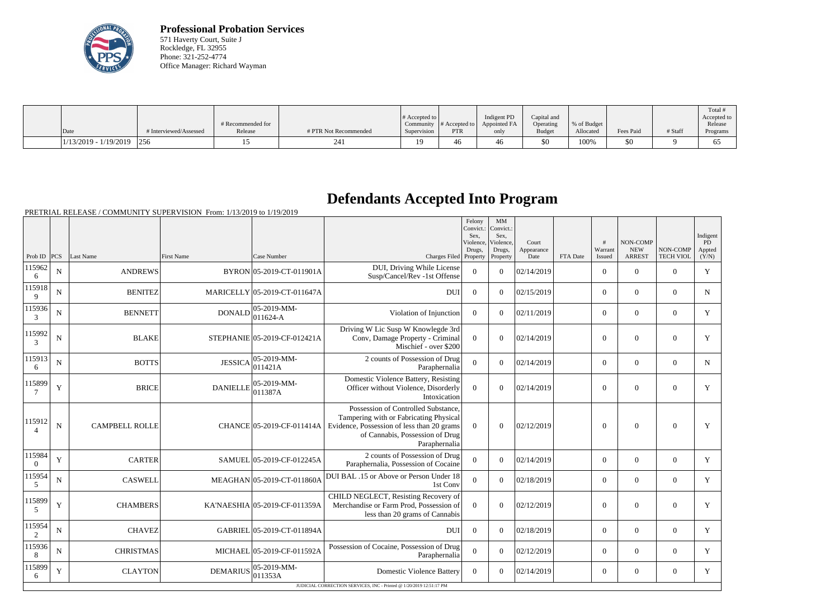

**Professional Probation Services** 571 Haverty Court, Suite J Rockledge, FL 32955 Phone: 321-252-4774 Office Manager: Richard Wayman

| Date                        | # Interviewed/Assessed | # Recommended for<br>Release | # PTR Not Recommended | $\#$ Accepted to<br>Supervision | $\sim$ Community # Accepted to $\sim$<br><b>PTR</b> | Indigent PD<br>Appointed FA<br>only | Capital and<br>Operating<br>Budget | % of Budget<br>Allocated | Fees Paid | # Staff | Total<br>Accepted to<br>Release<br>Programs |
|-----------------------------|------------------------|------------------------------|-----------------------|---------------------------------|-----------------------------------------------------|-------------------------------------|------------------------------------|--------------------------|-----------|---------|---------------------------------------------|
| $1/13/2019 - 1/19/2019$ 256 |                        |                              | 24.                   |                                 | 46                                                  | 40                                  | \$0                                | 100%                     | \$0       |         | O                                           |

## **Defendants Accepted Into Program**

|                    |             |                       |                 |                                |                                                                                                                                                                                 | Felony<br>Convict.:<br>Sex,<br>Violence | MM<br>Convict.:<br>Sex,<br>Violence, | Court              |          | #                 | NON-COMP                    |                              | Indigent<br>PD  |
|--------------------|-------------|-----------------------|-----------------|--------------------------------|---------------------------------------------------------------------------------------------------------------------------------------------------------------------------------|-----------------------------------------|--------------------------------------|--------------------|----------|-------------------|-----------------------------|------------------------------|-----------------|
| Prob ID            | <b>PCS</b>  | Last Name             | First Name      | Case Number                    | Charges Filed Property                                                                                                                                                          | Drugs,                                  | Drugs,<br>Property                   | Appearance<br>Date | FTA Date | Warrant<br>Issued | <b>NEW</b><br><b>ARREST</b> | NON-COMP<br><b>TECH VIOL</b> | Appted<br>(Y/N) |
| 115962<br>6        | ${\bf N}$   | <b>ANDREWS</b>        |                 | BYRON 05-2019-CT-011901A       | DUI, Driving While License<br>Susp/Cancel/Rev -1st Offense                                                                                                                      | $\mathbf{0}$                            | $\overline{0}$                       | 02/14/2019         |          | $\overline{0}$    | $\mathbf{0}$                | $\overline{0}$               | Y               |
| 115918<br>9        | $\mathbf N$ | <b>BENITEZ</b>        |                 | MARICELLY 05-2019-CT-011647A   | <b>DUI</b>                                                                                                                                                                      | $\theta$                                | $\Omega$                             | 02/15/2019         |          | $\overline{0}$    | $\overline{0}$              | $\overline{0}$               | N               |
| 115936<br>3        | N           | <b>BENNETT</b>        | <b>DONALD</b>   | $ 05-2019-MM-$<br>$011624 - A$ | Violation of Injunction                                                                                                                                                         | $\mathbf{0}$                            | $\overline{0}$                       | 02/11/2019         |          | $\overline{0}$    | $\mathbf{0}$                | $\overline{0}$               | Y               |
| 115992<br>3        | ${\bf N}$   | <b>BLAKE</b>          |                 | STEPHANIE 05-2019-CF-012421A   | Driving W Lic Susp W Knowlegde 3rd<br>Conv, Damage Property - Criminal<br>Mischief - over \$200                                                                                 | $\overline{0}$                          | $\Omega$                             | 02/14/2019         |          | $\overline{0}$    | $\theta$                    | $\mathbf{0}$                 | Y               |
| 115913<br>6        | N           | <b>BOTTS</b>          | <b>JESSICA</b>  | 05-2019-MM-<br>011421A         | 2 counts of Possession of Drug<br>Paraphernalia                                                                                                                                 | $\overline{0}$                          | $\Omega$                             | 02/14/2019         |          | $\overline{0}$    | $\boldsymbol{0}$            | $\overline{0}$               | N               |
| 115899             | $\mathbf Y$ | <b>BRICE</b>          | <b>DANIELLE</b> | 05-2019-MM-<br>011387A         | Domestic Violence Battery, Resisting<br>Officer without Violence, Disorderly<br>Intoxication                                                                                    | $\overline{0}$                          | $\overline{0}$                       | 02/14/2019         |          | $\overline{0}$    | $\overline{0}$              | $\mathbf{0}$                 | Y               |
| 115912             | $\mathbf N$ | <b>CAMPBELL ROLLE</b> |                 | CHANCE 05-2019-CF-011414A      | Possession of Controlled Substance,<br>Tampering with or Fabricating Physical<br>Evidence, Possession of less than 20 grams<br>of Cannabis, Possession of Drug<br>Paraphernalia | $\theta$                                | $\theta$                             | 02/12/2019         |          | $\theta$          | $\theta$                    | $\overline{0}$               | Y               |
| 115984<br>$\Omega$ | $\mathbf Y$ | <b>CARTER</b>         |                 | SAMUEL 05-2019-CF-012245A      | 2 counts of Possession of Drug<br>Paraphernalia, Possession of Cocaine                                                                                                          | $\Omega$                                | $\Omega$                             | 02/14/2019         |          | $\overline{0}$    | $\theta$                    | $\overline{0}$               | Y               |
| 115954<br>5        | ${\bf N}$   | <b>CASWELL</b>        |                 | MEAGHAN 05-2019-CT-011860A     | DUI BAL .15 or Above or Person Under 18<br>1st Conv                                                                                                                             | $\overline{0}$                          | $\overline{0}$                       | 02/18/2019         |          | $\overline{0}$    | $\mathbf{0}$                | $\overline{0}$               | Y               |
| 115899<br>5        | $\mathbf Y$ | <b>CHAMBERS</b>       |                 | KA'NAESHIA 05-2019-CF-011359A  | CHILD NEGLECT, Resisting Recovery of<br>Merchandise or Farm Prod, Possession of<br>less than 20 grams of Cannabis                                                               | $\Omega$                                | $\Omega$                             | 02/12/2019         |          | $\overline{0}$    | $\boldsymbol{0}$            | $\mathbf{0}$                 | Y               |
| 115954<br>2        | N           | <b>CHAVEZ</b>         |                 | GABRIEL 05-2019-CT-011894A     | <b>DUI</b>                                                                                                                                                                      | $\Omega$                                | $\Omega$                             | 02/18/2019         |          | $\overline{0}$    | $\boldsymbol{0}$            | $\overline{0}$               | Y               |
| 115936<br>8        | N           | <b>CHRISTMAS</b>      |                 | MICHAEL 05-2019-CF-011592A     | Possession of Cocaine, Possession of Drug<br>Paraphernalia                                                                                                                      | $\mathbf{0}$                            | $\overline{0}$                       | 02/12/2019         |          | $\overline{0}$    | $\mathbf{0}$                | $\overline{0}$               | Y               |
| 115899<br>6        | $\mathbf Y$ | <b>CLAYTON</b>        | <b>DEMARIUS</b> | 05-2019-MM-<br>011353A         | <b>Domestic Violence Battery</b>                                                                                                                                                | $\theta$                                | $\Omega$                             | 02/14/2019         |          | $\overline{0}$    | $\theta$                    | $\theta$                     | Y               |
|                    |             |                       |                 |                                | JUDICIAL CORRECTION SERVICES, INC - Printed @ 1/20/2019 12:51:17 PM                                                                                                             |                                         |                                      |                    |          |                   |                             |                              |                 |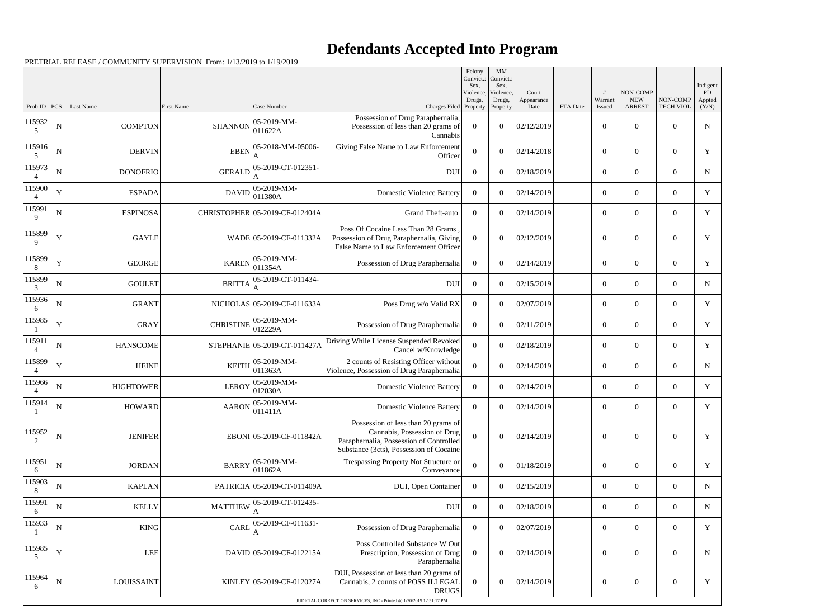## **Defendants Accepted Into Program**

|                                |             |                             |                                     |                                       |                                                                                                                                                                       | Felony<br>Convict.:<br>Sex.<br>Violence,<br>Drugs, | MM<br>Convict.:<br>Sex,<br>Violence,<br>Drugs, | Court<br>Appearance |          | #<br>Warrant               | NON-COMP<br><b>NEW</b>          | NON-COMP                           | Indigent<br>PD<br>Appted |
|--------------------------------|-------------|-----------------------------|-------------------------------------|---------------------------------------|-----------------------------------------------------------------------------------------------------------------------------------------------------------------------|----------------------------------------------------|------------------------------------------------|---------------------|----------|----------------------------|---------------------------------|------------------------------------|--------------------------|
| Prob ID $ PCS $<br>115932<br>5 | ${\bf N}$   | Last Name<br><b>COMPTON</b> | <b>First Name</b><br><b>SHANNON</b> | Case Number<br>05-2019-MM-<br>011622A | Charges Filed Property<br>Possession of Drug Paraphernalia,<br>Possession of less than 20 grams of<br>Cannabis                                                        | $\theta$                                           | Property<br>$\theta$                           | Date<br>02/12/2019  | FTA Date | Issued<br>$\boldsymbol{0}$ | <b>ARREST</b><br>$\overline{0}$ | <b>TECH VIOL</b><br>$\overline{0}$ | (Y/N)<br>${\bf N}$       |
| 115916<br>5                    | ${\bf N}$   | <b>DERVIN</b>               | <b>EBEN</b>                         | 05-2018-MM-05006-                     | Giving False Name to Law Enforcement<br>Officer                                                                                                                       | $\Omega$                                           | $\theta$                                       | 02/14/2018          |          | $\overline{0}$             | $\overline{0}$                  | $\overline{0}$                     | Y                        |
| 115973<br>$\overline{4}$       | ${\bf N}$   | <b>DONOFRIO</b>             | <b>GERALD</b>                       | 05-2019-CT-012351-                    | <b>DUI</b>                                                                                                                                                            | $\overline{0}$                                     | $\theta$                                       | 02/18/2019          |          | $\overline{0}$             | $\overline{0}$                  | $\overline{0}$                     | $\mathbf N$              |
| 115900                         | $\mathbf Y$ | <b>ESPADA</b>               | <b>DAVID</b>                        | 05-2019-MM-<br>011380A                | <b>Domestic Violence Battery</b>                                                                                                                                      | $\Omega$                                           | $\theta$                                       | 02/14/2019          |          | $\overline{0}$             | $\overline{0}$                  | $\overline{0}$                     | $\mathbf Y$              |
| 115991<br>9                    | ${\bf N}$   | <b>ESPINOSA</b>             |                                     | CHRISTOPHER 05-2019-CF-012404A        | Grand Theft-auto                                                                                                                                                      | $\theta$                                           | $\theta$                                       | 02/14/2019          |          | $\overline{0}$             | $\overline{0}$                  | $\overline{0}$                     | $\mathbf Y$              |
| 115899<br>9                    | $\mathbf Y$ | <b>GAYLE</b>                |                                     | WADE 05-2019-CF-011332A               | Poss Of Cocaine Less Than 28 Grams<br>Possession of Drug Paraphernalia, Giving<br>False Name to Law Enforcement Officer                                               | $\Omega$                                           | $\boldsymbol{0}$                               | 02/12/2019          |          | $\boldsymbol{0}$           | $\overline{0}$                  | $\overline{0}$                     | Y                        |
| 115899<br>8                    | $\mathbf Y$ | <b>GEORGE</b>               | <b>KAREN</b>                        | 05-2019-MM-<br>011354A                | Possession of Drug Paraphernalia                                                                                                                                      | $\overline{0}$                                     | $\theta$                                       | 02/14/2019          |          | $\boldsymbol{0}$           | $\overline{0}$                  | $\overline{0}$                     | Y                        |
| 115899<br>3                    | ${\bf N}$   | <b>GOULET</b>               | <b>BRITTA</b>                       | 05-2019-CT-011434-                    | <b>DUI</b>                                                                                                                                                            | $\overline{0}$                                     | $\overline{0}$                                 | 02/15/2019          |          | $\overline{0}$             | $\overline{0}$                  | $\overline{0}$                     | $\mathbf N$              |
| 115936<br>6                    | ${\bf N}$   | <b>GRANT</b>                |                                     | NICHOLAS 05-2019-CF-011633A           | Poss Drug w/o Valid RX                                                                                                                                                | $\overline{0}$                                     | $\overline{0}$                                 | 02/07/2019          |          | $\overline{0}$             | $\overline{0}$                  | $\overline{0}$                     | $\mathbf Y$              |
| 115985                         | $\mathbf Y$ | <b>GRAY</b>                 | <b>CHRISTINE</b>                    | 05-2019-MM-<br>012229A                | Possession of Drug Paraphernalia                                                                                                                                      | $\Omega$                                           | $\theta$                                       | 02/11/2019          |          | $\boldsymbol{0}$           | $\overline{0}$                  | $\overline{0}$                     | Y                        |
| 115911<br>$\overline{4}$       | ${\bf N}$   | <b>HANSCOME</b>             |                                     | STEPHANIE 05-2019-CT-011427A          | Driving While License Suspended Revoked<br>Cancel w/Knowledge                                                                                                         | $\overline{0}$                                     | $\overline{0}$                                 | 02/18/2019          |          | $\overline{0}$             | $\overline{0}$                  | $\overline{0}$                     | Y                        |
| 115899                         | $\mathbf Y$ | <b>HEINE</b>                | <b>KEITH</b>                        | 05-2019-MM-<br>011363A                | 2 counts of Resisting Officer without<br>Violence, Possession of Drug Paraphernalia                                                                                   | 0                                                  | $\overline{0}$                                 | 02/14/2019          |          | $\overline{0}$             | $\mathbf{0}$                    | $\overline{0}$                     | $\mathbf N$              |
| 115966<br>4                    | ${\bf N}$   | <b>HIGHTOWER</b>            | <b>LEROY</b>                        | 05-2019-MM-<br>012030A                | <b>Domestic Violence Battery</b>                                                                                                                                      | $\overline{0}$                                     | $\theta$                                       | 02/14/2019          |          | $\boldsymbol{0}$           | $\overline{0}$                  | $\overline{0}$                     | Y                        |
| 115914                         | ${\bf N}$   | HOWARD                      |                                     | $AARON$ $05-2019-MM-$<br> 011411A     | Domestic Violence Battery                                                                                                                                             | $\overline{0}$                                     | $\overline{0}$                                 | 02/14/2019          |          | $\boldsymbol{0}$           | $\overline{0}$                  | $\overline{0}$                     | Y                        |
| 115952<br>2                    | ${\bf N}$   | <b>JENIFER</b>              |                                     | EBONI 05-2019-CF-011842A              | Possession of less than 20 grams of<br>Cannabis, Possession of Drug<br>Paraphernalia, Possession of Controlled<br>Substance (3cts), Possession of Cocaine             | $\overline{0}$                                     | $\overline{0}$                                 | 02/14/2019          |          | $\boldsymbol{0}$           | $\boldsymbol{0}$                | $\boldsymbol{0}$                   | Y                        |
| 115951<br>6                    | ${\bf N}$   | <b>JORDAN</b>               | <b>BARRY</b>                        | 05-2019-MM-<br>011862A                | Trespassing Property Not Structure or<br>Conveyance                                                                                                                   | $\overline{0}$                                     | $\overline{0}$                                 | 01/18/2019          |          | $\overline{0}$             | $\overline{0}$                  | $\overline{0}$                     | Y                        |
| 115903<br>8                    | ${\bf N}$   | <b>KAPLAN</b>               |                                     | PATRICIA 05-2019-CT-011409A           | DUI, Open Container                                                                                                                                                   | $\overline{0}$                                     | $\overline{0}$                                 | 02/15/2019          |          | $\overline{0}$             | $\boldsymbol{0}$                | $\overline{0}$                     | $\mathbf N$              |
| 115991<br>6                    | ${\bf N}$   | <b>KELLY</b>                | <b>MATTHEW</b>                      | 05-2019-CT-012435-                    | <b>DUI</b>                                                                                                                                                            | $\overline{0}$                                     | $\overline{0}$                                 | 02/18/2019          |          | $\overline{0}$             | $\overline{0}$                  | $\overline{0}$                     | $\mathbf N$              |
| 115933                         | ${\bf N}$   | KING                        | CARL                                | 05-2019-CF-011631-                    | Possession of Drug Paraphernalia                                                                                                                                      | $\overline{0}$                                     | $\Omega$                                       | 02/07/2019          |          | $\overline{0}$             | $\overline{0}$                  | $\overline{0}$                     | Y                        |
| 115985<br>5                    | $\mathbf Y$ | LEE                         |                                     | DAVID 05-2019-CF-012215A              | Poss Controlled Substance W Out<br>Prescription, Possession of Drug<br>Paraphernalia                                                                                  | $\theta$                                           | $\overline{0}$                                 | 02/14/2019          |          | $\boldsymbol{0}$           | $\mathbf{0}$                    | $\overline{0}$                     | $\mathbf N$              |
| 115964<br>6                    | ${\bf N}$   | <b>LOUISSAINT</b>           |                                     | KINLEY 05-2019-CF-012027A             | DUI, Possession of less than 20 grams of<br>Cannabis, 2 counts of POSS ILLEGAL<br><b>DRUGS</b><br>JUDICIAL CORRECTION SERVICES, INC - Printed @ 1/20/2019 12:51:17 PM | $\overline{0}$                                     | $\overline{0}$                                 | 02/14/2019          |          | $\boldsymbol{0}$           | $\boldsymbol{0}$                | $\overline{0}$                     | $\mathbf Y$              |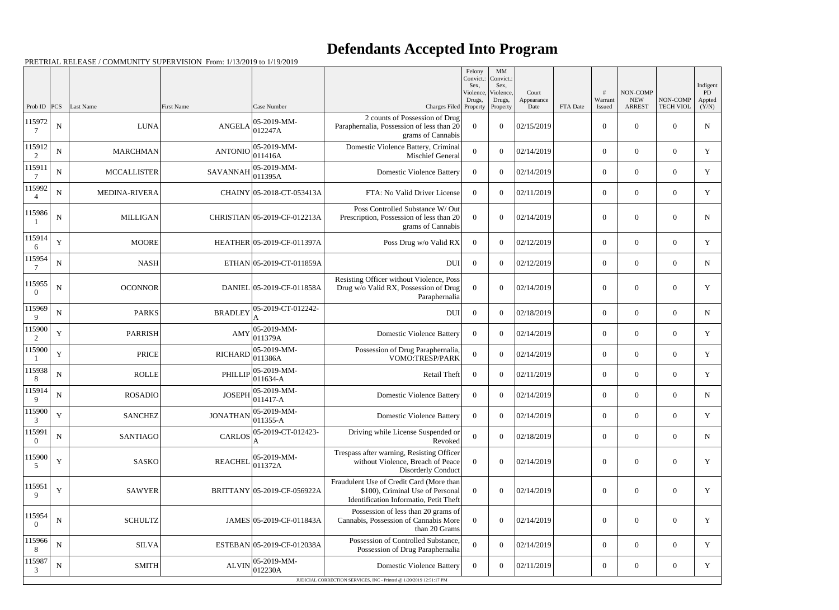## **Defendants Accepted Into Program**

|                    |             |                    |                   |                              |                                                                                                                        | Felony<br>Convict.:<br>Sex. | MM<br>Convict.:<br>Sex,         |                             |          |                   |                                         |                              | Indigent              |
|--------------------|-------------|--------------------|-------------------|------------------------------|------------------------------------------------------------------------------------------------------------------------|-----------------------------|---------------------------------|-----------------------------|----------|-------------------|-----------------------------------------|------------------------------|-----------------------|
| Prob ID            | PCS         | Last Name          | <b>First Name</b> | Case Number                  | Charges Filed Property                                                                                                 | Violence,<br>Drugs,         | Violence,<br>Drugs,<br>Property | Court<br>Appearance<br>Date | FTA Date | Warrant<br>Issued | NON-COMP<br><b>NEW</b><br><b>ARREST</b> | NON-COMP<br><b>TECH VIOL</b> | PD<br>Appted<br>(Y/N) |
| 115972<br>7        | $\mathbf N$ | <b>LUNA</b>        | <b>ANGELA</b>     | 05-2019-MM-<br>012247A       | 2 counts of Possession of Drug<br>Paraphernalia, Possession of less than 20<br>grams of Cannabis                       | $\overline{0}$              | $\boldsymbol{0}$                | 02/15/2019                  |          | $\boldsymbol{0}$  | $\overline{0}$                          | $\overline{0}$               | $\mathbf N$           |
| 115912<br>2        | $\mathbf N$ | <b>MARCHMAN</b>    | <b>ANTONIO</b>    | 05-2019-MM-<br>011416A       | Domestic Violence Battery, Criminal<br><b>Mischief General</b>                                                         | $\boldsymbol{0}$            | $\overline{0}$                  | 02/14/2019                  |          | $\overline{0}$    | $\overline{0}$                          | $\overline{0}$               | Y                     |
| 115911             | ${\bf N}$   | <b>MCCALLISTER</b> | <b>SAVANNAH</b>   | 05-2019-MM-<br>011395A       | <b>Domestic Violence Battery</b>                                                                                       | $\overline{0}$              | $\theta$                        | 02/14/2019                  |          | $\overline{0}$    | $\overline{0}$                          | $\overline{0}$               | Y                     |
| 115992             | $\mathbf N$ | MEDINA-RIVERA      |                   | CHAINY 05-2018-CT-053413A    | FTA: No Valid Driver License                                                                                           | $\Omega$                    | $\Omega$                        | 02/11/2019                  |          | $\overline{0}$    | $\boldsymbol{0}$                        | $\overline{0}$               | Y                     |
| 115986             | $\mathbf N$ | <b>MILLIGAN</b>    |                   | CHRISTIAN 05-2019-CF-012213A | Poss Controlled Substance W/ Out<br>Prescription, Possession of less than 20<br>grams of Cannabis                      | $\overline{0}$              | $\theta$                        | 02/14/2019                  |          | $\boldsymbol{0}$  | $\boldsymbol{0}$                        | $\overline{0}$               | N                     |
| 115914<br>6        | Y           | <b>MOORE</b>       |                   | HEATHER 05-2019-CF-011397A   | Poss Drug w/o Valid RX                                                                                                 | $\overline{0}$              | $\boldsymbol{0}$                | 02/12/2019                  |          | $\overline{0}$    | $\overline{0}$                          | $\overline{0}$               | Y                     |
| 115954<br>7        | ${\bf N}$   | <b>NASH</b>        |                   | ETHAN 05-2019-CT-011859A     | <b>DUI</b>                                                                                                             | $\overline{0}$              | $\theta$                        | 02/12/2019                  |          | $\overline{0}$    | $\overline{0}$                          | $\overline{0}$               | $\mathbf N$           |
| 115955<br>$\Omega$ | $\mathbf N$ | <b>OCONNOR</b>     |                   | DANIEL 05-2019-CF-011858A    | Resisting Officer without Violence, Poss<br>Drug w/o Valid RX, Possession of Drug<br>Paraphernalia                     | $\overline{0}$              | $\Omega$                        | 02/14/2019                  |          | $\overline{0}$    | $\overline{0}$                          | $\overline{0}$               | Y                     |
| 115969<br>9        | ${\bf N}$   | <b>PARKS</b>       | <b>BRADLEY</b>    | 05-2019-CT-012242-           | <b>DUI</b>                                                                                                             | $\overline{0}$              | $\theta$                        | 02/18/2019                  |          | $\overline{0}$    | $\overline{0}$                          | $\overline{0}$               | $\mathbf N$           |
| 115900<br>2        | Y           | <b>PARRISH</b>     | AMY               | 05-2019-MM-<br>011379A       | <b>Domestic Violence Battery</b>                                                                                       | $\overline{0}$              | $\theta$                        | 02/14/2019                  |          | $\overline{0}$    | $\overline{0}$                          | $\overline{0}$               | Y                     |
| 115900             | $\mathbf Y$ | <b>PRICE</b>       | <b>RICHARD</b>    | 05-2019-MM-<br>011386A       | Possession of Drug Paraphernalia,<br>VOMO:TRESP/PARK                                                                   | $\mathbf{0}$                | $\theta$                        | 02/14/2019                  |          | $\overline{0}$    | $\overline{0}$                          | $\overline{0}$               | $\mathbf Y$           |
| 115938<br>8        | ${\bf N}$   | <b>ROLLE</b>       | PHILLIP           | 05-2019-MM-<br>$011634 - A$  | Retail Theft                                                                                                           | $\overline{0}$              | $\overline{0}$                  | 02/11/2019                  |          | $\overline{0}$    | $\overline{0}$                          | $\overline{0}$               | Y                     |
| 115914<br>9        | ${\bf N}$   | <b>ROSADIO</b>     | <b>JOSEPH</b>     | 05-2019-MM-<br>011417-A      | <b>Domestic Violence Battery</b>                                                                                       | $\overline{0}$              | $\theta$                        | 02/14/2019                  |          | $\overline{0}$    | $\overline{0}$                          | $\overline{0}$               | N                     |
| 115900<br>3        | $\mathbf Y$ | <b>SANCHEZ</b>     | <b>JONATHAN</b>   | $ 05-2019-MM-$<br>011355-A   | <b>Domestic Violence Battery</b>                                                                                       | $\overline{0}$              | $\boldsymbol{0}$                | 02/14/2019                  |          | $\overline{0}$    | $\boldsymbol{0}$                        | $\boldsymbol{0}$             | Y                     |
| 115991<br>$\Omega$ | ${\bf N}$   | <b>SANTIAGO</b>    | <b>CARLOS</b>     | 05-2019-CT-012423-           | Driving while License Suspended or<br>Revoked                                                                          | $\boldsymbol{0}$            | $\overline{0}$                  | 02/18/2019                  |          | $\overline{0}$    | $\overline{0}$                          | $\boldsymbol{0}$             | $\mathbf N$           |
| 115900<br>5        | Y           | <b>SASKO</b>       | <b>REACHEI</b>    | 05-2019-MM-<br>011372A       | Trespass after warning, Resisting Officer<br>without Violence, Breach of Peace<br><b>Disorderly Conduct</b>            | $\overline{0}$              | $\boldsymbol{0}$                | 02/14/2019                  |          | $\boldsymbol{0}$  | $\boldsymbol{0}$                        | $\overline{0}$               | Y                     |
| 115951<br>9        | Y           | <b>SAWYER</b>      |                   | BRITTANY 05-2019-CF-056922A  | Fraudulent Use of Credit Card (More than<br>\$100), Criminal Use of Personal<br>Identification Informatio, Petit Theft | $\overline{0}$              | $\boldsymbol{0}$                | 02/14/2019                  |          | $\overline{0}$    | $\boldsymbol{0}$                        | $\overline{0}$               | Y                     |
| 115954<br>$\bf{0}$ | ${\bf N}$   | <b>SCHULTZ</b>     |                   | JAMES 05-2019-CF-011843A     | Possession of less than 20 grams of<br>Cannabis, Possession of Cannabis More<br>than 20 Grams                          | $\overline{0}$              | $\boldsymbol{0}$                | 02/14/2019                  |          | $\overline{0}$    | $\boldsymbol{0}$                        | $\overline{0}$               | Y                     |
| 115966<br>8        | ${\bf N}$   | <b>SILVA</b>       |                   | ESTEBAN 05-2019-CF-012038A   | Possession of Controlled Substance,<br>Possession of Drug Paraphernalia                                                | $\overline{0}$              | $\overline{0}$                  | 02/14/2019                  |          | $\overline{0}$    | $\overline{0}$                          | $\overline{0}$               | Y                     |
| 115987<br>3        | ${\bf N}$   | <b>SMITH</b>       | <b>ALVIN</b>      | 05-2019-MM-<br>012230A       | <b>Domestic Violence Battery</b>                                                                                       | $\overline{0}$              | $\overline{0}$                  | 02/11/2019                  |          | $\boldsymbol{0}$  | $\overline{0}$                          | $\overline{0}$               | Y                     |
|                    |             |                    |                   |                              | JUDICIAL CORRECTION SERVICES, INC - Printed @ 1/20/2019 12:51:17 PM                                                    |                             |                                 |                             |          |                   |                                         |                              |                       |